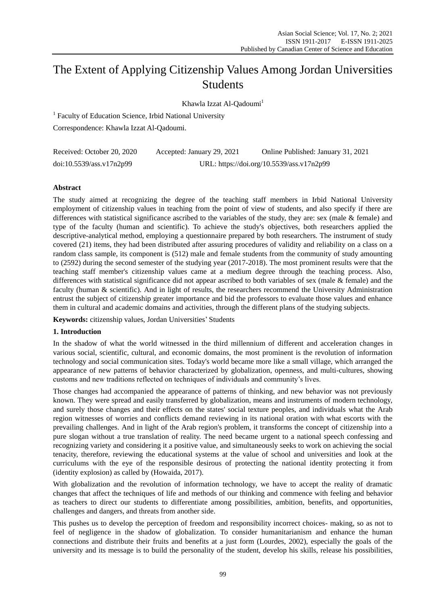# The Extent of Applying Citizenship Values Among Jordan Universities Students

Khawla Izzat Al-Oadoumi<sup>1</sup>

<sup>1</sup> Faculty of Education Science, Irbid National University Correspondence: Khawla Izzat Al-Qadoumi.

| Received: October 20, 2020 | Accepted: January 29, 2021 | Online Published: January 31, 2021        |
|----------------------------|----------------------------|-------------------------------------------|
| doi:10.5539/ass.v17n2p99   |                            | URL: https://doi.org/10.5539/ass.v17n2p99 |

# **Abstract**

The study aimed at recognizing the degree of the teaching staff members in Irbid National University employment of citizenship values in teaching from the point of view of students, and also specify if there are differences with statistical significance ascribed to the variables of the study, they are: sex (male & female) and type of the faculty (human and scientific). To achieve the study's objectives, both researchers applied the descriptive-analytical method, employing a questionnaire prepared by both researchers. The instrument of study covered (21) items, they had been distributed after assuring procedures of validity and reliability on a class on a random class sample, its component is (512) male and female students from the community of study amounting to (2592) during the second semester of the studying year (2017-2018). The most prominent results were that the teaching staff member's citizenship values came at a medium degree through the teaching process. Also, differences with statistical significance did not appear ascribed to both variables of sex (male & female) and the faculty (human & scientific). And in light of results, the researchers recommend the University Administration entrust the subject of citizenship greater importance and bid the professors to evaluate those values and enhance them in cultural and academic domains and activities, through the different plans of the studying subjects.

**Keywords:** citizenship values, Jordan Universities' Students

# **1. Introduction**

In the shadow of what the world witnessed in the third millennium of different and acceleration changes in various social, scientific, cultural, and economic domains, the most prominent is the revolution of information technology and social communication sites. Today's world became more like a small village, which arranged the appearance of new patterns of behavior characterized by globalization, openness, and multi-cultures, showing customs and new traditions reflected on techniques of individuals and community's lives.

Those changes had accompanied the appearance of patterns of thinking, and new behavior was not previously known. They were spread and easily transferred by globalization, means and instruments of modern technology, and surely those changes and their effects on the states' social texture peoples, and individuals what the Arab region witnesses of worries and conflicts demand reviewing in its national oration with what escorts with the prevailing challenges. And in light of the Arab region's problem, it transforms the concept of citizenship into a pure slogan without a true translation of reality. The need became urgent to a national speech confessing and recognizing variety and considering it a positive value, and simultaneously seeks to work on achieving the social tenacity, therefore, reviewing the educational systems at the value of school and universities and look at the curriculums with the eye of the responsible desirous of protecting the national identity protecting it from (identity explosion) as called by (Howaida, 2017).

With globalization and the revolution of information technology, we have to accept the reality of dramatic changes that affect the techniques of life and methods of our thinking and commence with feeling and behavior as teachers to direct our students to differentiate among possibilities, ambition, benefits, and opportunities, challenges and dangers, and threats from another side.

This pushes us to develop the perception of freedom and responsibility incorrect choices- making, so as not to feel of negligence in the shadow of globalization. To consider humanitarianism and enhance the human connections and distribute their fruits and benefits at a just form (Lourdes, 2002), especially the goals of the university and its message is to build the personality of the student, develop his skills, release his possibilities,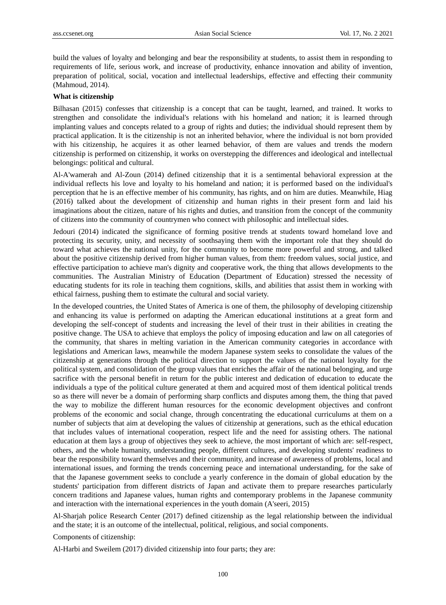build the values of loyalty and belonging and bear the responsibility at students, to assist them in responding to requirements of life, serious work, and increase of productivity, enhance innovation and ability of invention, preparation of political, social, vocation and intellectual leaderships, effective and effecting their community (Mahmoud, 2014).

#### **What is citizenship**

Bilhasan (2015) confesses that citizenship is a concept that can be taught, learned, and trained. It works to strengthen and consolidate the individual's relations with his homeland and nation; it is learned through implanting values and concepts related to a group of rights and duties; the individual should represent them by practical application. It is the citizenship is not an inherited behavior, where the individual is not born provided with his citizenship, he acquires it as other learned behavior, of them are values and trends the modern citizenship is performed on citizenship, it works on overstepping the differences and ideological and intellectual belongings: political and cultural.

Al-A'wamerah and Al-Zoun (2014) defined citizenship that it is a sentimental behavioral expression at the individual reflects his love and loyalty to his homeland and nation; it is performed based on the individual's perception that he is an effective member of his community, has rights, and on him are duties. Meanwhile, Hiag (2016) talked about the development of citizenship and human rights in their present form and laid his imaginations about the citizen, nature of his rights and duties, and transition from the concept of the community of citizens into the community of countrymen who connect with philosophic and intellectual sides.

Jedouri (2014) indicated the significance of forming positive trends at students toward homeland love and protecting its security, unity, and necessity of soothsaying them with the important role that they should do toward what achieves the national unity, for the community to become more powerful and strong, and talked about the positive citizenship derived from higher human values, from them: freedom values, social justice, and effective participation to achieve man's dignity and cooperative work, the thing that allows developments to the communities. The Australian Ministry of Education (Department of Education) stressed the necessity of educating students for its role in teaching them cognitions, skills, and abilities that assist them in working with ethical fairness, pushing them to estimate the cultural and social variety.

In the developed countries, the United States of America is one of them, the philosophy of developing citizenship and enhancing its value is performed on adapting the American educational institutions at a great form and developing the self-concept of students and increasing the level of their trust in their abilities in creating the positive change. The USA to achieve that employs the policy of imposing education and law on all categories of the community, that shares in melting variation in the American community categories in accordance with legislations and American laws, meanwhile the modern Japanese system seeks to consolidate the values of the citizenship at generations through the political direction to support the values of the national loyalty for the political system, and consolidation of the group values that enriches the affair of the national belonging, and urge sacrifice with the personal benefit in return for the public interest and dedication of education to educate the individuals a type of the political culture generated at them and acquired most of them identical political trends so as there will never be a domain of performing sharp conflicts and disputes among them, the thing that paved the way to mobilize the different human resources for the economic development objectives and confront problems of the economic and social change, through concentrating the educational curriculums at them on a number of subjects that aim at developing the values of citizenship at generations, such as the ethical education that includes values of international cooperation, respect life and the need for assisting others. The national education at them lays a group of objectives they seek to achieve, the most important of which are: self-respect, others, and the whole humanity, understanding people, different cultures, and developing students' readiness to bear the responsibility toward themselves and their community, and increase of awareness of problems, local and international issues, and forming the trends concerning peace and international understanding, for the sake of that the Japanese government seeks to conclude a yearly conference in the domain of global education by the students' participation from different districts of Japan and activate them to prepare researches particularly concern traditions and Japanese values, human rights and contemporary problems in the Japanese community and interaction with the international experiences in the youth domain (A'seeri, 2015)

Al-Sharjah police Research Center (2017) defined citizenship as the legal relationship between the individual and the state; it is an outcome of the intellectual, political, religious, and social components.

Components of citizenship:

Al-Harbi and Sweilem (2017) divided citizenship into four parts; they are: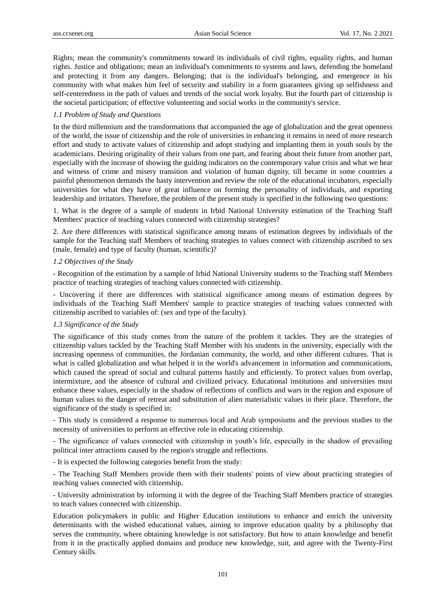Rights; mean the community's commitments toward its individuals of civil rights, equality rights, and human rights. Justice and obligations; mean an individual's commitments to systems and laws, defending the homeland and protecting it from any dangers. Belonging; that is the individual's belonging, and emergence in his community with what makes him feel of security and stability in a form guarantees giving up selfishness and self-centeredness in the path of values and trends of the social work loyalty. But the fourth part of citizenship is the societal participation; of effective volunteering and social works in the community's service.

## *1.1 Problem of Study and Questions*

In the third millennium and the transformations that accompanied the age of globalization and the great openness of the world, the issue of citizenship and the role of universities in enhancing it remains in need of more research effort and study to activate values of citizenship and adopt studying and implanting them in youth souls by the academicians. Desiring originality of their values from one part, and fearing about their future from another part, especially with the increase of showing the guiding indicators on the contemporary value crisis and what we hear and witness of crime and misery transition and violation of human dignity, till became in some countries a painful phenomenon demands the hasty intervention and review the role of the educational incubators, especially universities for what they have of great influence on forming the personality of individuals, and exporting leadership and irritators. Therefore, the problem of the present study is specified in the following two questions:

1. What is the degree of a sample of students in Irbid National University estimation of the Teaching Staff Members' practice of teaching values connected with citizenship strategies?

2. Are there differences with statistical significance among means of estimation degrees by individuals of the sample for the Teaching staff Members of teaching strategies to values connect with citizenship ascribed to sex (male, female) and type of faculty (human, scientific)?

## *1.2 Objectives of the Study*

- Recognition of the estimation by a sample of Irbid National University students to the Teaching staff Members practice of teaching strategies of teaching values connected with citizenship.

- Uncovering if there are differences with statistical significance among means of estimation degrees by individuals of the Teaching Staff Members' sample to practice strategies of teaching values connected with citizenship ascribed to variables of: (sex and type of the faculty).

#### *1.3 Significance of the Study*

The significance of this study comes from the nature of the problem it tackles. They are the strategies of citizenship values tackled by the Teaching Staff Member with his students in the university, especially with the increasing openness of communities, the Jordanian community, the world, and other different cultures. That is what is called globalization and what helped it in the world's advancement in information and communications, which caused the spread of social and cultural patterns hastily and efficiently. To protect values from overlap, intermixture, and the absence of cultural and civilized privacy. Educational institutions and universities must enhance these values, especially in the shadow of reflections of conflicts and wars in the region and exposure of human values to the danger of retreat and substitution of alien materialistic values in their place. Therefore, the significance of the study is specified in:

- This study is considered a response to numerous local and Arab symposiums and the previous studies to the necessity of universities to perform an effective role in educating citizenship.

- The significance of values connected with citizenship in youth's life, especially in the shadow of prevailing political inter attractions caused by the region's struggle and reflections.

- It is expected the following categories benefit from the study:

- The Teaching Staff Members provide them with their students' points of view about practicing strategies of teaching values connected with citizenship.

- University administration by informing it with the degree of the Teaching Staff Members practice of strategies to teach values connected with citizenship.

Education policymakers in public and Higher Education institutions to enhance and enrich the university determinants with the wished educational values, aiming to improve education quality by a philosophy that serves the community, where obtaining knowledge is not satisfactory. But how to attain knowledge and benefit from it in the practically applied domains and produce new knowledge, suit, and agree with the Twenty-First Century skills.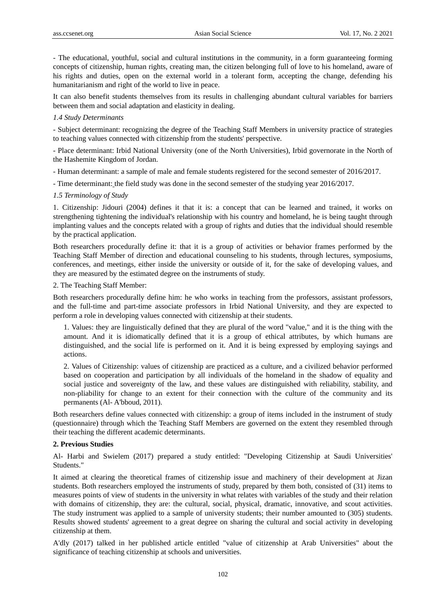- The educational, youthful, social and cultural institutions in the community, in a form guaranteeing forming concepts of citizenship, human rights, creating man, the citizen belonging full of love to his homeland, aware of his rights and duties, open on the external world in a tolerant form, accepting the change, defending his humanitarianism and right of the world to live in peace.

It can also benefit students themselves from its results in challenging abundant cultural variables for barriers between them and social adaptation and elasticity in dealing.

#### *1.4 Study Determinants*

- Subject determinant: recognizing the degree of the Teaching Staff Members in university practice of strategies to teaching values connected with citizenship from the students' perspective.

- Place determinant: Irbid National University (one of the North Universities), Irbid governorate in the North of the Hashemite Kingdom of Jordan.

- Human determinant: a sample of male and female students registered for the second semester of 2016/2017.

- Time determinant: the field study was done in the second semester of the studying year 2016/2017.

#### *1.5 Terminology of Study*

1. Citizenship: Jidouri (2004) defines it that it is: a concept that can be learned and trained, it works on strengthening tightening the individual's relationship with his country and homeland, he is being taught through implanting values and the concepts related with a group of rights and duties that the individual should resemble by the practical application.

Both researchers procedurally define it: that it is a group of activities or behavior frames performed by the Teaching Staff Member of direction and educational counseling to his students, through lectures, symposiums, conferences, and meetings, either inside the university or outside of it, for the sake of developing values, and they are measured by the estimated degree on the instruments of study.

2. The Teaching Staff Member:

Both researchers procedurally define him: he who works in teaching from the professors, assistant professors, and the full-time and part-time associate professors in Irbid National University, and they are expected to perform a role in developing values connected with citizenship at their students.

1. Values: they are linguistically defined that they are plural of the word "value," and it is the thing with the amount. And it is idiomatically defined that it is a group of ethical attributes, by which humans are distinguished, and the social life is performed on it. And it is being expressed by employing sayings and actions.

2. Values of Citizenship: values of citizenship are practiced as a culture, and a civilized behavior performed based on cooperation and participation by all individuals of the homeland in the shadow of equality and social justice and sovereignty of the law, and these values are distinguished with reliability, stability, and non-pliability for change to an extent for their connection with the culture of the community and its permanents (Al- A'bboud, 2011).

Both researchers define values connected with citizenship: a group of items included in the instrument of study (questionnaire) through which the Teaching Staff Members are governed on the extent they resembled through their teaching the different academic determinants.

## **2. Previous Studies**

Al- Harbi and Swielem (2017) prepared a study entitled: "Developing Citizenship at Saudi Universities' Students."

It aimed at clearing the theoretical frames of citizenship issue and machinery of their development at Jizan students. Both researchers employed the instruments of study, prepared by them both, consisted of (31) items to measures points of view of students in the university in what relates with variables of the study and their relation with domains of citizenship, they are: the cultural, social, physical, dramatic, innovative, and scout activities. The study instrument was applied to a sample of university students; their number amounted to (305) students. Results showed students' agreement to a great degree on sharing the cultural and social activity in developing citizenship at them.

A'dly (2017) talked in her published article entitled "value of citizenship at Arab Universities" about the significance of teaching citizenship at schools and universities.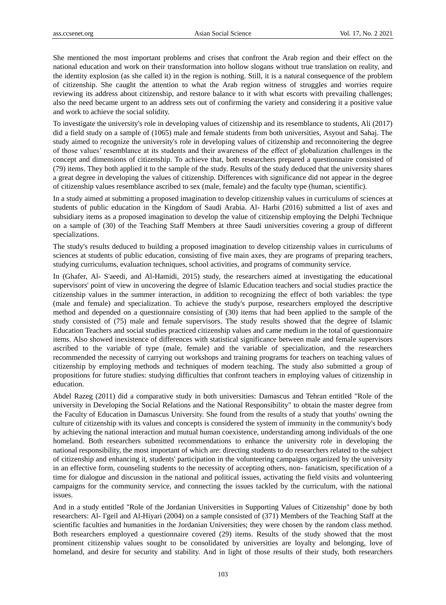She mentioned the most important problems and crises that confront the Arab region and their effect on the national education and work on their transformation into hollow slogans without true translation on reality, and the identity explosion (as she called it) in the region is nothing. Still, it is a natural consequence of the problem of citizenship. She caught the attention to what the Arab region witness of struggles and worries require reviewing its address about citizenship, and restore balance to it with what escorts with prevailing challenges; also the need became urgent to an address sets out of confirming the variety and considering it a positive value and work to achieve the social solidity.

To investigate the university's role in developing values of citizenship and its resemblance to students, Ali (2017) did a field study on a sample of (1065) male and female students from both universities, Asyout and Sahaj. The study aimed to recognize the university's role in developing values of citizenship and reconnoitering the degree of those values' resemblance at its students and their awareness of the effect of globalization challenges in the concept and dimensions of citizenship. To achieve that, both researchers prepared a questionnaire consisted of (79) items. They both applied it to the sample of the study. Results of the study deduced that the university shares a great degree in developing the values of citizenship. Differences with significance did not appear in the degree of citizenship values resemblance ascribed to sex (male, female) and the faculty type (human, scientific).

In a study aimed at submitting a proposed imagination to develop citizenship values in curriculums of sciences at students of public education in the Kingdom of Saudi Arabia. Al- Harbi (2016) submitted a list of axes and subsidiary items as a proposed imagination to develop the value of citizenship employing the Delphi Technique on a sample of (30) of the Teaching Staff Members at three Saudi universities covering a group of different specializations.

The study's results deduced to building a proposed imagination to develop citizenship values in curriculums of sciences at students of public education, consisting of five main axes, they are programs of preparing teachers, studying curriculums, evaluation techniques, school activities, and programs of community service.

In (Ghafer, Al- S'aeedi, and Al-Hamidi, 2015) study, the researchers aimed at investigating the educational supervisors' point of view in uncovering the degree of Islamic Education teachers and social studies practice the citizenship values in the summer interaction, in addition to recognizing the effect of both variables: the type (male and female) and specialization. To achieve the study's purpose, researchers employed the descriptive method and depended on a questionnaire consisting of (30) items that had been applied to the sample of the study consisted of (75) male and female supervisors. The study results showed that the degree of Islamic Education Teachers and social studies practiced citizenship values and came medium in the total of questionnaire items. Also showed inexistence of differences with statistical significance between male and female supervisors ascribed to the variable of type (male, female) and the variable of specialization, and the researchers recommended the necessity of carrying out workshops and training programs for teachers on teaching values of citizenship by employing methods and techniques of modern teaching. The study also submitted a group of propositions for future studies: studying difficulties that confront teachers in employing values of citizenship in education.

Abdel Razeg (2011) did a comparative study in both universities: Damascus and Tehran entitled "Role of the university in Developing the Social Relations and the National Responsibility" to obtain the master degree from the Faculty of Education in Damascus University. She found from the results of a study that youths' owning the culture of citizenship with its values and concepts is considered the system of immunity in the community's body by achieving the national interaction and mutual human coexistence, understanding among individuals of the one homeland. Both researchers submitted recommendations to enhance the university role in developing the national responsibility, the most important of which are: directing students to do researchers related to the subject of citizenship and enhancing it, students' participation in the volunteering campaigns organized by the university in an effective form, counseling students to the necessity of accepting others, non- fanaticism, specification of a time for dialogue and discussion in the national and political issues, activating the field visits and volunteering campaigns for the community service, and connecting the issues tackled by the curriculum, with the national issues.

And in a study entitled "Role of the Jordanian Universities in Supporting Values of Citizenship" done by both researchers: Al- I'geil and Al-Hiyari (2004) on a sample consisted of (371) Members of the Teaching Staff at the scientific faculties and humanities in the Jordanian Universities; they were chosen by the random class method. Both researchers employed a questionnaire covered (29) items. Results of the study showed that the most prominent citizenship values sought to be consolidated by universities are loyalty and belonging, love of homeland, and desire for security and stability. And in light of those results of their study, both researchers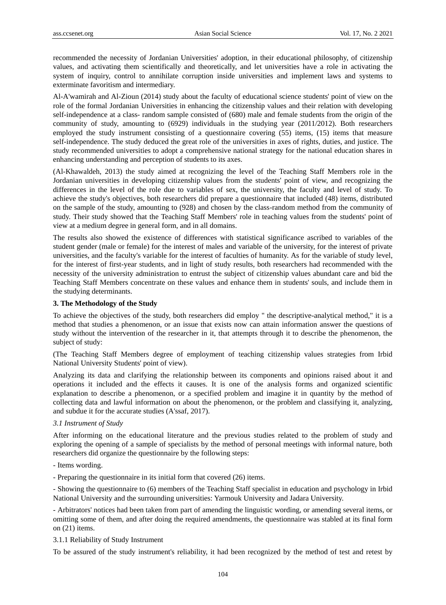recommended the necessity of Jordanian Universities' adoption, in their educational philosophy, of citizenship values, and activating them scientifically and theoretically, and let universities have a role in activating the system of inquiry, control to annihilate corruption inside universities and implement laws and systems to exterminate favoritism and intermediary.

Al-A'wamirah and Al-Zioun (2014) study about the faculty of educational science students' point of view on the role of the formal Jordanian Universities in enhancing the citizenship values and their relation with developing self-independence at a class- random sample consisted of (680) male and female students from the origin of the community of study, amounting to (6929) individuals in the studying year (2011/2012). Both researchers employed the study instrument consisting of a questionnaire covering (55) items, (15) items that measure self-independence. The study deduced the great role of the universities in axes of rights, duties, and justice. The study recommended universities to adopt a comprehensive national strategy for the national education shares in enhancing understanding and perception of students to its axes.

(Al-Khawaldeh, 2013) the study aimed at recognizing the level of the Teaching Staff Members role in the Jordanian universities in developing citizenship values from the students' point of view, and recognizing the differences in the level of the role due to variables of sex, the university, the faculty and level of study. To achieve the study's objectives, both researchers did prepare a questionnaire that included (48) items, distributed on the sample of the study, amounting to (928) and chosen by the class-random method from the community of study. Their study showed that the Teaching Staff Members' role in teaching values from the students' point of view at a medium degree in general form, and in all domains.

The results also showed the existence of differences with statistical significance ascribed to variables of the student gender (male or female) for the interest of males and variable of the university, for the interest of private universities, and the faculty's variable for the interest of faculties of humanity. As for the variable of study level, for the interest of first-year students, and in light of study results, both researchers had recommended with the necessity of the university administration to entrust the subject of citizenship values abundant care and bid the Teaching Staff Members concentrate on these values and enhance them in students' souls, and include them in the studying determinants.

## **3. The Methodology of the Study**

To achieve the objectives of the study, both researchers did employ " the descriptive-analytical method," it is a method that studies a phenomenon, or an issue that exists now can attain information answer the questions of study without the intervention of the researcher in it, that attempts through it to describe the phenomenon, the subject of study:

(The Teaching Staff Members degree of employment of teaching citizenship values strategies from Irbid National University Students' point of view).

Analyzing its data and clarifying the relationship between its components and opinions raised about it and operations it included and the effects it causes. It is one of the analysis forms and organized scientific explanation to describe a phenomenon, or a specified problem and imagine it in quantity by the method of collecting data and lawful information on about the phenomenon, or the problem and classifying it, analyzing, and subdue it for the accurate studies (A'ssaf, 2017).

#### *3.1 Instrument of Study*

After informing on the educational literature and the previous studies related to the problem of study and exploring the opening of a sample of specialists by the method of personal meetings with informal nature, both researchers did organize the questionnaire by the following steps:

- Items wording.
- Preparing the questionnaire in its initial form that covered (26) items.

- Showing the questionnaire to (6) members of the Teaching Staff specialist in education and psychology in Irbid National University and the surrounding universities: Yarmouk University and Jadara University.

- Arbitrators' notices had been taken from part of amending the linguistic wording, or amending several items, or omitting some of them, and after doing the required amendments, the questionnaire was stabled at its final form on (21) items.

#### 3.1.1 Reliability of Study Instrument

To be assured of the study instrument's reliability, it had been recognized by the method of test and retest by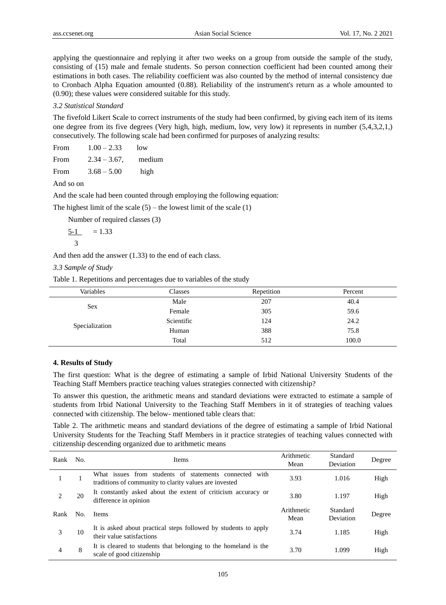applying the questionnaire and replying it after two weeks on a group from outside the sample of the study, consisting of (15) male and female students. So person connection coefficient had been counted among their estimations in both cases. The reliability coefficient was also counted by the method of internal consistency due to Cronbach Alpha Equation amounted (0.88). Reliability of the instrument's return as a whole amounted to (0.90); these values were considered suitable for this study.

## *3.2 Statistical Standard*

The fivefold Likert Scale to correct instruments of the study had been confirmed, by giving each item of its items one degree from its five degrees (Very high, high, medium, low, very low) it represents in number (5,4,3,2,1,) consecutively. The following scale had been confirmed for purposes of analyzing results:

| From        | $1.00 - 2.33$   | low    |
|-------------|-----------------|--------|
| From        | $2.34 - 3.67$ , | medium |
| <b>From</b> | $3.68 - 5.00$   | high   |

#### And so on

And the scale had been counted through employing the following equation:

The highest limit of the scale  $(5)$  – the lowest limit of the scale  $(1)$ 

Number of required classes (3)

$$
\frac{5-1}{3} = 1.33
$$

And then add the answer (1.33) to the end of each class.

*3.3 Sample of Study*

Table 1. Repetitions and percentages due to variables of the study

| Variables      | Classes    | Repetition | Percent |
|----------------|------------|------------|---------|
| Sex            | Male       | 207        | 40.4    |
|                | Female     | 305        | 59.6    |
| Specialization | Scientific | 124        | 24.2    |
|                | Human      | 388        | 75.8    |
|                | Total      | 512        | 100.0   |

## **4. Results of Study**

The first question: What is the degree of estimating a sample of Irbid National University Students of the Teaching Staff Members practice teaching values strategies connected with citizenship?

To answer this question, the arithmetic means and standard deviations were extracted to estimate a sample of students from Irbid National University to the Teaching Staff Members in it of strategies of teaching values connected with citizenship. The below- mentioned table clears that:

Table 2. The arithmetic means and standard deviations of the degree of estimating a sample of Irbid National University Students for the Teaching Staff Members in it practice strategies of teaching values connected with citizenship descending organized due to arithmetic means

| Rank | No. | Items                                                                                                            | Arithmetic<br>Mean | Standard<br>Deviation | Degree |
|------|-----|------------------------------------------------------------------------------------------------------------------|--------------------|-----------------------|--------|
|      |     | What issues from students of statements connected with<br>traditions of community to clarity values are invested | 3.93               | 1.016                 | High   |
| 2    | 20  | It constantly asked about the extent of criticism accuracy or<br>difference in opinion                           | 3.80               | 1.197                 | High   |
| Rank | No. | <b>Items</b>                                                                                                     | Arithmetic<br>Mean | Standard<br>Deviation | Degree |
| 3    | 10  | It is asked about practical steps followed by students to apply<br>their value satisfactions                     | 3.74               | 1.185                 | High   |
| 4    | 8   | It is cleared to students that belonging to the homeland is the<br>scale of good citizenship                     | 3.70               | 1.099                 | High   |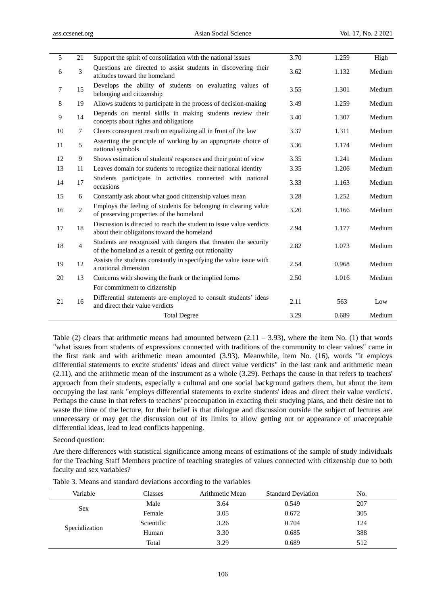| 5  | 21             | Support the spirit of consolidation with the national issues                                                              | 3.70 | 1.259 | High   |
|----|----------------|---------------------------------------------------------------------------------------------------------------------------|------|-------|--------|
| 6  | 3              | Questions are directed to assist students in discovering their<br>attitudes toward the homeland                           | 3.62 | 1.132 | Medium |
| 7  | 15             | Develops the ability of students on evaluating values of<br>belonging and citizenship                                     | 3.55 | 1.301 | Medium |
| 8  | 19             | Allows students to participate in the process of decision-making                                                          | 3.49 | 1.259 | Medium |
| 9  | 14             | Depends on mental skills in making students review their<br>concepts about rights and obligations                         | 3.40 | 1.307 | Medium |
| 10 | 7              | Clears consequent result on equalizing all in front of the law                                                            | 3.37 | 1.311 | Medium |
| 11 | 5              | Asserting the principle of working by an appropriate choice of<br>national symbols                                        | 3.36 | 1.174 | Medium |
| 12 | 9              | Shows estimation of students' responses and their point of view                                                           | 3.35 | 1.241 | Medium |
| 13 | 11             | Leaves domain for students to recognize their national identity                                                           | 3.35 | 1.206 | Medium |
| 14 | 17             | Students participate in activities connected with national<br>occasions                                                   | 3.33 | 1.163 | Medium |
| 15 | 6              | Constantly ask about what good citizenship values mean                                                                    | 3.28 | 1.252 | Medium |
| 16 | $\overline{2}$ | Employs the feeling of students for belonging in clearing value<br>of preserving properties of the homeland               | 3.20 | 1.166 | Medium |
| 17 | 18             | Discussion is directed to reach the student to issue value verdicts<br>about their obligations toward the homeland        | 2.94 | 1.177 | Medium |
| 18 | $\overline{4}$ | Students are recognized with dangers that threaten the security<br>of the homeland as a result of getting out rationality | 2.82 | 1.073 | Medium |
| 19 | 12             | Assists the students constantly in specifying the value issue with<br>a national dimension                                | 2.54 | 0.968 | Medium |
| 20 | 13             | Concerns with showing the frank or the implied forms                                                                      | 2.50 | 1.016 | Medium |
|    |                | For commitment to citizenship                                                                                             |      |       |        |
| 21 | 16             | Differential statements are employed to consult students' ideas<br>and direct their value verdicts                        | 2.11 | 563   | Low    |
|    |                | <b>Total Degree</b>                                                                                                       | 3.29 | 0.689 | Medium |

Table (2) clears that arithmetic means had amounted between  $(2.11 - 3.93)$ , where the item No. (1) that words "what issues from students of expressions connected with traditions of the community to clear values" came in the first rank and with arithmetic mean amounted (3.93). Meanwhile, item No. (16), words "it employs differential statements to excite students' ideas and direct value verdicts" in the last rank and arithmetic mean (2.11), and the arithmetic mean of the instrument as a whole (3.29). Perhaps the cause in that refers to teachers' approach from their students, especially a cultural and one social background gathers them, but about the item occupying the last rank "employs differential statements to excite students' ideas and direct their value verdicts'. Perhaps the cause in that refers to teachers' preoccupation in exacting their studying plans, and their desire not to waste the time of the lecture, for their belief is that dialogue and discussion outside the subject of lectures are unnecessary or may get the discussion out of its limits to allow getting out or appearance of unacceptable differential ideas, lead to lead conflicts happening.

# Second question:

Are there differences with statistical significance among means of estimations of the sample of study individuals for the Teaching Staff Members practice of teaching strategies of values connected with citizenship due to both faculty and sex variables?

| Variable       | Classes    | Arithmetic Mean | <b>Standard Deviation</b> | No. |
|----------------|------------|-----------------|---------------------------|-----|
| Sex            | Male       | 3.64            | 0.549                     | 207 |
|                | Female     | 3.05            | 0.672                     | 305 |
|                | Scientific | 3.26            | 0.704                     | 124 |
| Specialization | Human      | 3.30            | 0.685                     | 388 |
|                | Total      | 3.29            | 0.689                     | 512 |

Table 3. Means and standard deviations according to the variables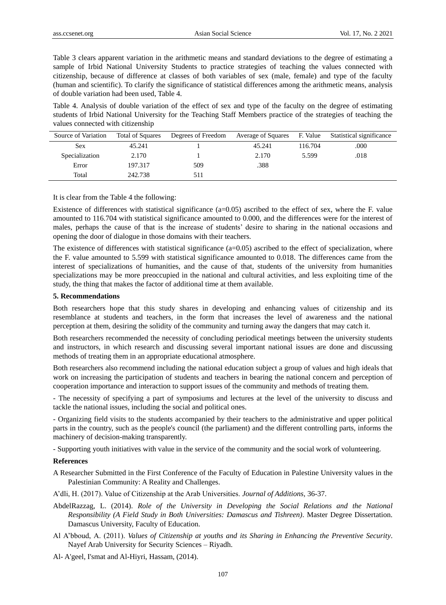Table 3 clears apparent variation in the arithmetic means and standard deviations to the degree of estimating a sample of Irbid National University Students to practice strategies of teaching the values connected with citizenship, because of difference at classes of both variables of sex (male, female) and type of the faculty (human and scientific). To clarify the significance of statistical differences among the arithmetic means, analysis of double variation had been used, Table 4.

Table 4. Analysis of double variation of the effect of sex and type of the faculty on the degree of estimating students of Irbid National University for the Teaching Staff Members practice of the strategies of teaching the values connected with citizenship

| Source of Variation | <b>Total of Squares</b> | Degrees of Freedom | Average of Squares | F. Value | Statistical significance |
|---------------------|-------------------------|--------------------|--------------------|----------|--------------------------|
| <b>Sex</b>          | 45.241                  |                    | 45.241             | 116.704  | .000                     |
| Specialization      | 2.170                   |                    | 2.170              | 5.599    | .018                     |
| Error               | 197.317                 | 509                | .388               |          |                          |
| Total               | 242.738                 | 511                |                    |          |                          |

It is clear from the Table 4 the following:

Existence of differences with statistical significance (a=0.05) ascribed to the effect of sex, where the F. value amounted to 116.704 with statistical significance amounted to 0.000, and the differences were for the interest of males, perhaps the cause of that is the increase of students' desire to sharing in the national occasions and opening the door of dialogue in those domains with their teachers.

The existence of differences with statistical significance (a=0.05) ascribed to the effect of specialization, where the F. value amounted to 5.599 with statistical significance amounted to 0.018. The differences came from the interest of specializations of humanities, and the cause of that, students of the university from humanities specializations may be more preoccupied in the national and cultural activities, and less exploiting time of the study, the thing that makes the factor of additional time at them available.

#### **5. Recommendations**

Both researchers hope that this study shares in developing and enhancing values of citizenship and its resemblance at students and teachers, in the form that increases the level of awareness and the national perception at them, desiring the solidity of the community and turning away the dangers that may catch it.

Both researchers recommended the necessity of concluding periodical meetings between the university students and instructors, in which research and discussing several important national issues are done and discussing methods of treating them in an appropriate educational atmosphere.

Both researchers also recommend including the national education subject a group of values and high ideals that work on increasing the participation of students and teachers in bearing the national concern and perception of cooperation importance and interaction to support issues of the community and methods of treating them.

- The necessity of specifying a part of symposiums and lectures at the level of the university to discuss and tackle the national issues, including the social and political ones.

- Organizing field visits to the students accompanied by their teachers to the administrative and upper political parts in the country, such as the people's council (the parliament) and the different controlling parts, informs the machinery of decision-making transparently.

- Supporting youth initiatives with value in the service of the community and the social work of volunteering.

#### **References**

A Researcher Submitted in the First Conference of the Faculty of Education in Palestine University values in the Palestinian Community: A Reality and Challenges.

A'dli, H. (2017). Value of Citizenship at the Arab Universities. *Journal of Additions,* 36-37.

- AbdelRazzag, L. (2014). *Role of the University in Developing the Social Relations and the National Responsibility (A Field Study in Both Universities: Damascus and Tishreen)*. Master Degree Dissertation. Damascus University, Faculty of Education.
- Al A'bboud, A. (2011). *Values of Citizenship at youths and its Sharing in Enhancing the Preventive Security*. Nayef Arab University for Security Sciences – Riyadh.

Al- A'geel, I'smat and Al-Hiyri, Hassam, (2014).